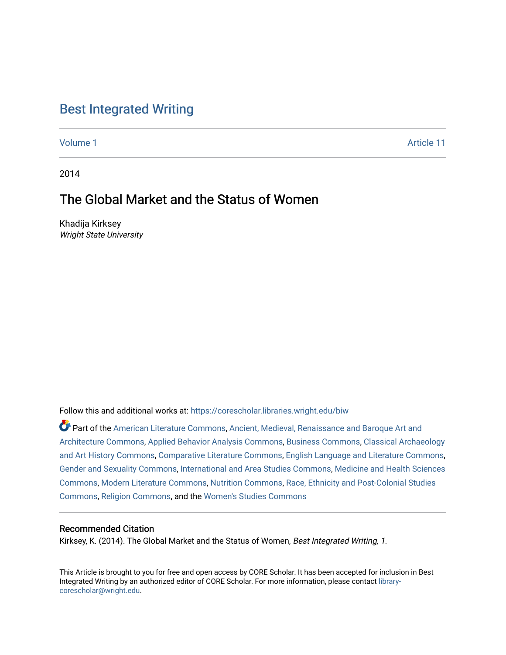### [Best Integrated Writing](https://corescholar.libraries.wright.edu/biw)

[Volume 1](https://corescholar.libraries.wright.edu/biw/vol1) Article 11

2014

## The Global Market and the Status of Women

Khadija Kirksey Wright State University

Follow this and additional works at: [https://corescholar.libraries.wright.edu/biw](https://corescholar.libraries.wright.edu/biw?utm_source=corescholar.libraries.wright.edu%2Fbiw%2Fvol1%2Fiss1%2F11&utm_medium=PDF&utm_campaign=PDFCoverPages)

Part of the [American Literature Commons](http://network.bepress.com/hgg/discipline/441?utm_source=corescholar.libraries.wright.edu%2Fbiw%2Fvol1%2Fiss1%2F11&utm_medium=PDF&utm_campaign=PDFCoverPages), [Ancient, Medieval, Renaissance and Baroque Art and](http://network.bepress.com/hgg/discipline/512?utm_source=corescholar.libraries.wright.edu%2Fbiw%2Fvol1%2Fiss1%2F11&utm_medium=PDF&utm_campaign=PDFCoverPages)  [Architecture Commons,](http://network.bepress.com/hgg/discipline/512?utm_source=corescholar.libraries.wright.edu%2Fbiw%2Fvol1%2Fiss1%2F11&utm_medium=PDF&utm_campaign=PDFCoverPages) [Applied Behavior Analysis Commons](http://network.bepress.com/hgg/discipline/1235?utm_source=corescholar.libraries.wright.edu%2Fbiw%2Fvol1%2Fiss1%2F11&utm_medium=PDF&utm_campaign=PDFCoverPages), [Business Commons,](http://network.bepress.com/hgg/discipline/622?utm_source=corescholar.libraries.wright.edu%2Fbiw%2Fvol1%2Fiss1%2F11&utm_medium=PDF&utm_campaign=PDFCoverPages) [Classical Archaeology](http://network.bepress.com/hgg/discipline/450?utm_source=corescholar.libraries.wright.edu%2Fbiw%2Fvol1%2Fiss1%2F11&utm_medium=PDF&utm_campaign=PDFCoverPages) [and Art History Commons](http://network.bepress.com/hgg/discipline/450?utm_source=corescholar.libraries.wright.edu%2Fbiw%2Fvol1%2Fiss1%2F11&utm_medium=PDF&utm_campaign=PDFCoverPages), [Comparative Literature Commons,](http://network.bepress.com/hgg/discipline/454?utm_source=corescholar.libraries.wright.edu%2Fbiw%2Fvol1%2Fiss1%2F11&utm_medium=PDF&utm_campaign=PDFCoverPages) [English Language and Literature Commons](http://network.bepress.com/hgg/discipline/455?utm_source=corescholar.libraries.wright.edu%2Fbiw%2Fvol1%2Fiss1%2F11&utm_medium=PDF&utm_campaign=PDFCoverPages), [Gender and Sexuality Commons](http://network.bepress.com/hgg/discipline/420?utm_source=corescholar.libraries.wright.edu%2Fbiw%2Fvol1%2Fiss1%2F11&utm_medium=PDF&utm_campaign=PDFCoverPages), [International and Area Studies Commons,](http://network.bepress.com/hgg/discipline/360?utm_source=corescholar.libraries.wright.edu%2Fbiw%2Fvol1%2Fiss1%2F11&utm_medium=PDF&utm_campaign=PDFCoverPages) [Medicine and Health Sciences](http://network.bepress.com/hgg/discipline/648?utm_source=corescholar.libraries.wright.edu%2Fbiw%2Fvol1%2Fiss1%2F11&utm_medium=PDF&utm_campaign=PDFCoverPages)  [Commons](http://network.bepress.com/hgg/discipline/648?utm_source=corescholar.libraries.wright.edu%2Fbiw%2Fvol1%2Fiss1%2F11&utm_medium=PDF&utm_campaign=PDFCoverPages), [Modern Literature Commons](http://network.bepress.com/hgg/discipline/1050?utm_source=corescholar.libraries.wright.edu%2Fbiw%2Fvol1%2Fiss1%2F11&utm_medium=PDF&utm_campaign=PDFCoverPages), [Nutrition Commons,](http://network.bepress.com/hgg/discipline/95?utm_source=corescholar.libraries.wright.edu%2Fbiw%2Fvol1%2Fiss1%2F11&utm_medium=PDF&utm_campaign=PDFCoverPages) [Race, Ethnicity and Post-Colonial Studies](http://network.bepress.com/hgg/discipline/566?utm_source=corescholar.libraries.wright.edu%2Fbiw%2Fvol1%2Fiss1%2F11&utm_medium=PDF&utm_campaign=PDFCoverPages)  [Commons](http://network.bepress.com/hgg/discipline/566?utm_source=corescholar.libraries.wright.edu%2Fbiw%2Fvol1%2Fiss1%2F11&utm_medium=PDF&utm_campaign=PDFCoverPages), [Religion Commons,](http://network.bepress.com/hgg/discipline/538?utm_source=corescholar.libraries.wright.edu%2Fbiw%2Fvol1%2Fiss1%2F11&utm_medium=PDF&utm_campaign=PDFCoverPages) and the [Women's Studies Commons](http://network.bepress.com/hgg/discipline/561?utm_source=corescholar.libraries.wright.edu%2Fbiw%2Fvol1%2Fiss1%2F11&utm_medium=PDF&utm_campaign=PDFCoverPages) 

#### Recommended Citation

Kirksey, K. (2014). The Global Market and the Status of Women, Best Integrated Writing, 1.

This Article is brought to you for free and open access by CORE Scholar. It has been accepted for inclusion in Best Integrated Writing by an authorized editor of CORE Scholar. For more information, please contact [library](mailto:library-corescholar@wright.edu)[corescholar@wright.edu](mailto:library-corescholar@wright.edu).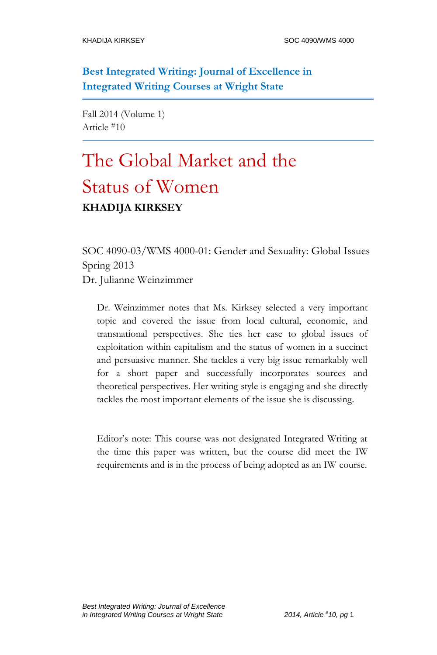**Best Integrated Writing: Journal of Excellence in Integrated Writing Courses at Wright State**

Fall 2014 (Volume 1) Article #10

# The Global Market and the Status of Women **KHADIJA KIRKSEY**

SOC 4090-03/WMS 4000-01: Gender and Sexuality: Global Issues Spring 2013 Dr. Julianne Weinzimmer

Dr. Weinzimmer notes that Ms. Kirksey selected a very important topic and covered the issue from local cultural, economic, and transnational perspectives. She ties her case to global issues of exploitation within capitalism and the status of women in a succinct and persuasive manner. She tackles a very big issue remarkably well for a short paper and successfully incorporates sources and theoretical perspectives. Her writing style is engaging and she directly tackles the most important elements of the issue she is discussing.

Editor's note: This course was not designated Integrated Writing at the time this paper was written, but the course did meet the IW requirements and is in the process of being adopted as an IW course.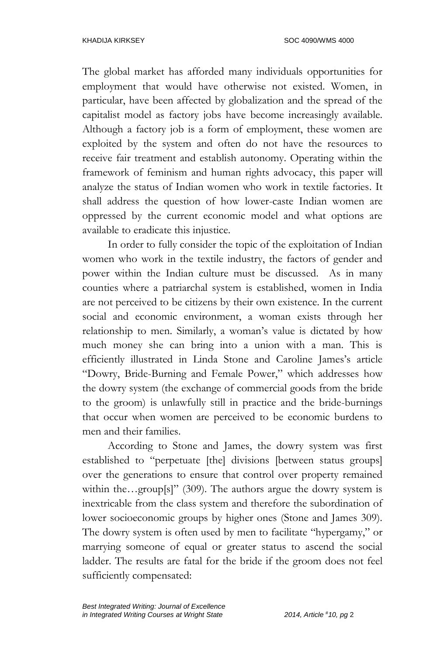The global market has afforded many individuals opportunities for employment that would have otherwise not existed. Women, in particular, have been affected by globalization and the spread of the capitalist model as factory jobs have become increasingly available. Although a factory job is a form of employment, these women are exploited by the system and often do not have the resources to receive fair treatment and establish autonomy. Operating within the framework of feminism and human rights advocacy, this paper will analyze the status of Indian women who work in textile factories. It shall address the question of how lower-caste Indian women are oppressed by the current economic model and what options are available to eradicate this injustice.

In order to fully consider the topic of the exploitation of Indian women who work in the textile industry, the factors of gender and power within the Indian culture must be discussed. As in many counties where a patriarchal system is established, women in India are not perceived to be citizens by their own existence. In the current social and economic environment, a woman exists through her relationship to men. Similarly, a woman's value is dictated by how much money she can bring into a union with a man. This is efficiently illustrated in Linda Stone and Caroline James's article "Dowry, Bride-Burning and Female Power," which addresses how the dowry system (the exchange of commercial goods from the bride to the groom) is unlawfully still in practice and the bride-burnings that occur when women are perceived to be economic burdens to men and their families.

According to Stone and James, the dowry system was first established to "perpetuate [the] divisions [between status groups] over the generations to ensure that control over property remained within the…group[s]" (309). The authors argue the dowry system is inextricable from the class system and therefore the subordination of lower socioeconomic groups by higher ones (Stone and James 309). The dowry system is often used by men to facilitate "hypergamy," or marrying someone of equal or greater status to ascend the social ladder. The results are fatal for the bride if the groom does not feel sufficiently compensated: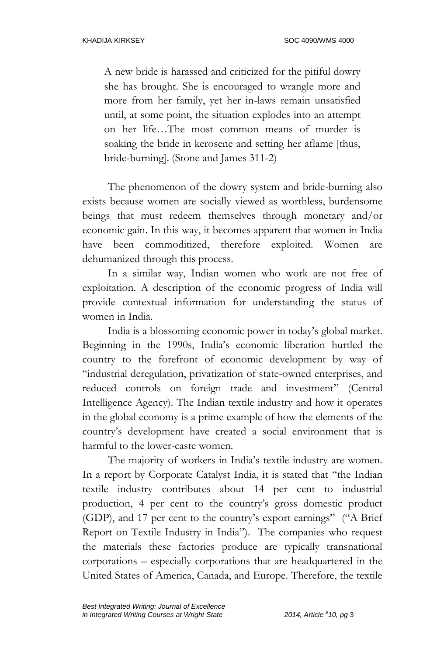A new bride is harassed and criticized for the pitiful dowry she has brought. She is encouraged to wrangle more and more from her family, yet her in-laws remain unsatisfied until, at some point, the situation explodes into an attempt on her life…The most common means of murder is soaking the bride in kerosene and setting her aflame [thus, bride-burning]. (Stone and James 311-2)

The phenomenon of the dowry system and bride-burning also exists because women are socially viewed as worthless, burdensome beings that must redeem themselves through monetary and/or economic gain. In this way, it becomes apparent that women in India have been commoditized, therefore exploited. Women are dehumanized through this process.

In a similar way, Indian women who work are not free of exploitation. A description of the economic progress of India will provide contextual information for understanding the status of women in India.

India is a blossoming economic power in today's global market. Beginning in the 1990s, India's economic liberation hurtled the country to the forefront of economic development by way of "industrial deregulation, privatization of state-owned enterprises, and reduced controls on foreign trade and investment" (Central Intelligence Agency). The Indian textile industry and how it operates in the global economy is a prime example of how the elements of the country's development have created a social environment that is harmful to the lower-caste women.

The majority of workers in India's textile industry are women. In a report by Corporate Catalyst India, it is stated that "the Indian textile industry contributes about 14 per cent to industrial production, 4 per cent to the country's gross domestic product (GDP), and 17 per cent to the country's export earnings" ("A Brief Report on Textile Industry in India"). The companies who request the materials these factories produce are typically transnational corporations – especially corporations that are headquartered in the United States of America, Canada, and Europe. Therefore, the textile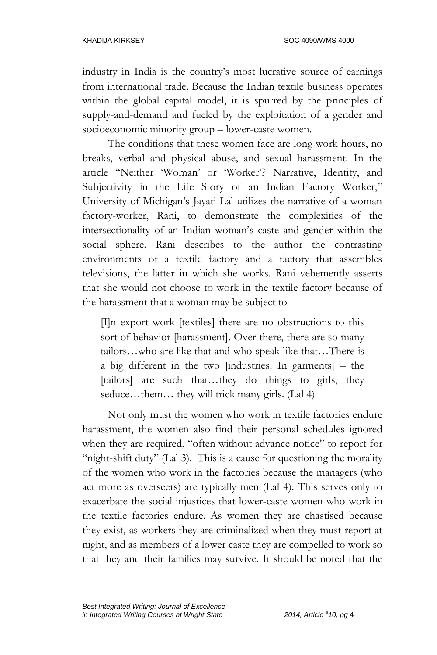industry in India is the country's most lucrative source of earnings from international trade. Because the Indian textile business operates within the global capital model, it is spurred by the principles of supply-and-demand and fueled by the exploitation of a gender and socioeconomic minority group – lower-caste women.

The conditions that these women face are long work hours, no breaks, verbal and physical abuse, and sexual harassment. In the article "Neither 'Woman' or 'Worker'? Narrative, Identity, and Subjectivity in the Life Story of an Indian Factory Worker," University of Michigan's Jayati Lal utilizes the narrative of a woman factory-worker, Rani, to demonstrate the complexities of the intersectionality of an Indian woman's caste and gender within the social sphere. Rani describes to the author the contrasting environments of a textile factory and a factory that assembles televisions, the latter in which she works. Rani vehemently asserts that she would not choose to work in the textile factory because of the harassment that a woman may be subject to

[I]n export work [textiles] there are no obstructions to this sort of behavior [harassment]. Over there, there are so many tailors…who are like that and who speak like that…There is a big different in the two [industries. In garments] – the [tailors] are such that…they do things to girls, they seduce...them... they will trick many girls. (Lal 4)

Not only must the women who work in textile factories endure harassment, the women also find their personal schedules ignored when they are required, "often without advance notice" to report for "night-shift duty" (Lal 3). This is a cause for questioning the morality of the women who work in the factories because the managers (who act more as overseers) are typically men (Lal 4). This serves only to exacerbate the social injustices that lower-caste women who work in the textile factories endure. As women they are chastised because they exist, as workers they are criminalized when they must report at night, and as members of a lower caste they are compelled to work so that they and their families may survive. It should be noted that the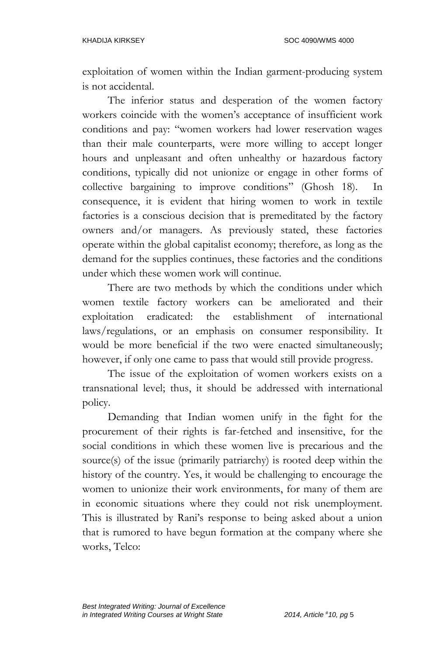exploitation of women within the Indian garment-producing system is not accidental.

The inferior status and desperation of the women factory workers coincide with the women's acceptance of insufficient work conditions and pay: "women workers had lower reservation wages than their male counterparts, were more willing to accept longer hours and unpleasant and often unhealthy or hazardous factory conditions, typically did not unionize or engage in other forms of collective bargaining to improve conditions" (Ghosh 18). In consequence, it is evident that hiring women to work in textile factories is a conscious decision that is premeditated by the factory owners and/or managers. As previously stated, these factories operate within the global capitalist economy; therefore, as long as the demand for the supplies continues, these factories and the conditions under which these women work will continue.

There are two methods by which the conditions under which women textile factory workers can be ameliorated and their exploitation eradicated: the establishment of international laws/regulations, or an emphasis on consumer responsibility. It would be more beneficial if the two were enacted simultaneously; however, if only one came to pass that would still provide progress.

The issue of the exploitation of women workers exists on a transnational level; thus, it should be addressed with international policy.

Demanding that Indian women unify in the fight for the procurement of their rights is far-fetched and insensitive, for the social conditions in which these women live is precarious and the source(s) of the issue (primarily patriarchy) is rooted deep within the history of the country. Yes, it would be challenging to encourage the women to unionize their work environments, for many of them are in economic situations where they could not risk unemployment. This is illustrated by Rani's response to being asked about a union that is rumored to have begun formation at the company where she works, Telco: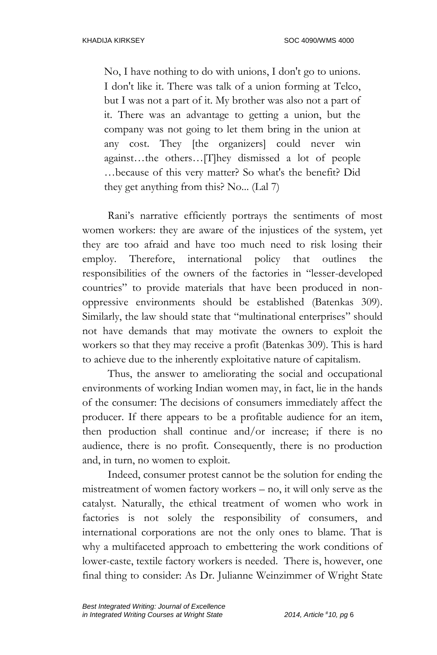No, I have nothing to do with unions, I don't go to unions. I don't like it. There was talk of a union forming at Telco, but I was not a part of it. My brother was also not a part of it. There was an advantage to getting a union, but the company was not going to let them bring in the union at any cost. They [the organizers] could never win against…the others…[T]hey dismissed a lot of people *…*because of this very matter? So what's the benefit? Did they get anything from this? No... (Lal 7)

Rani's narrative efficiently portrays the sentiments of most women workers: they are aware of the injustices of the system, yet they are too afraid and have too much need to risk losing their employ. Therefore, international policy that outlines the responsibilities of the owners of the factories in "lesser-developed countries" to provide materials that have been produced in nonoppressive environments should be established (Batenkas 309). Similarly, the law should state that "multinational enterprises" should not have demands that may motivate the owners to exploit the workers so that they may receive a profit (Batenkas 309). This is hard to achieve due to the inherently exploitative nature of capitalism.

Thus, the answer to ameliorating the social and occupational environments of working Indian women may, in fact, lie in the hands of the consumer: The decisions of consumers immediately affect the producer. If there appears to be a profitable audience for an item, then production shall continue and/or increase; if there is no audience, there is no profit. Consequently, there is no production and, in turn, no women to exploit.

Indeed, consumer protest cannot be the solution for ending the mistreatment of women factory workers – no, it will only serve as the catalyst. Naturally, the ethical treatment of women who work in factories is not solely the responsibility of consumers, and international corporations are not the only ones to blame. That is why a multifaceted approach to embettering the work conditions of lower-caste, textile factory workers is needed. There is, however, one final thing to consider: As Dr. Julianne Weinzimmer of Wright State